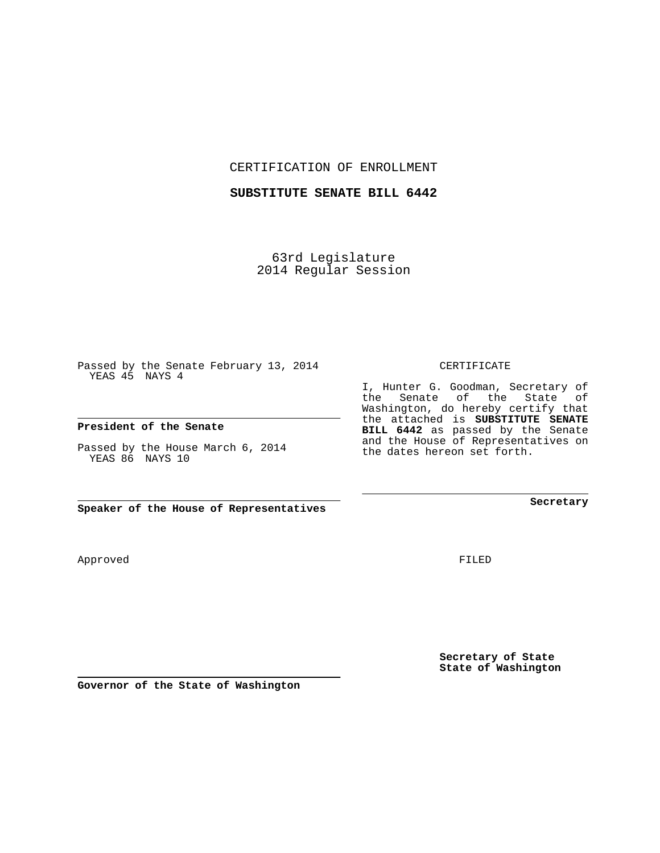CERTIFICATION OF ENROLLMENT

## **SUBSTITUTE SENATE BILL 6442**

63rd Legislature 2014 Regular Session

Passed by the Senate February 13, 2014 YEAS 45 NAYS 4

## **President of the Senate**

Passed by the House March 6, 2014 YEAS 86 NAYS 10

**Speaker of the House of Representatives**

Approved

FILED

**Secretary of State State of Washington**

**Secretary**

CERTIFICATE

I, Hunter G. Goodman, Secretary of the Senate of the State of Washington, do hereby certify that the attached is **SUBSTITUTE SENATE BILL 6442** as passed by the Senate and the House of Representatives on the dates hereon set forth.

**Governor of the State of Washington**